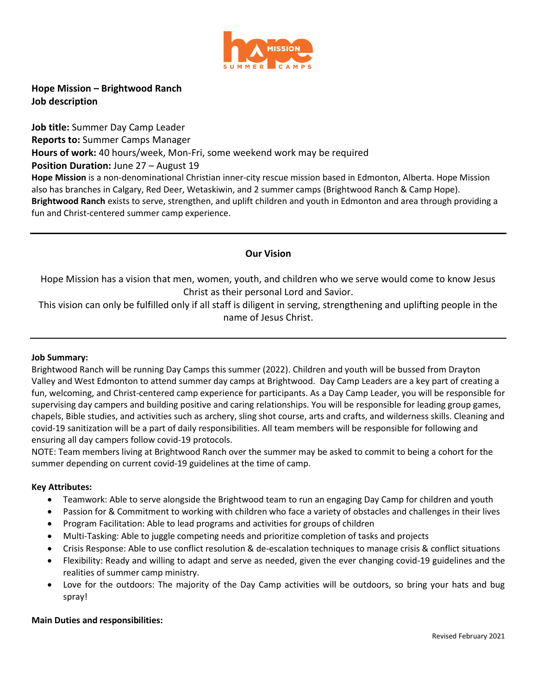

**Hope Mission – Brightwood Ranch Job description**

**Job title:** Summer Day Camp Leader **Reports to:** Summer Camps Manager **Hours of work:** 40 hours/week, Mon-Fri, some weekend work may be required **Position Duration: June 27 – August 19 Hope Mission** is a non-denominational Christian inner-city rescue mission based in Edmonton, Alberta. Hope Mission also has branches in Calgary, Red Deer, Wetaskiwin, and 2 summer camps (Brightwood Ranch & Camp Hope). **Brightwood Ranch** exists to serve, strengthen, and uplift children and youth in Edmonton and area through providing a fun and Christ-centered summer camp experience.

# **Our Vision**

Hope Mission has a vision that men, women, youth, and children who we serve would come to know Jesus Christ as their personal Lord and Savior.

This vision can only be fulfilled only if all staff is diligent in serving, strengthening and uplifting people in the name of Jesus Christ.

## **Job Summary:**

Brightwood Ranch will be running Day Camps this summer (2022). Children and youth will be bussed from Drayton Valley and West Edmonton to attend summer day camps at Brightwood. Day Camp Leaders are a key part of creating a fun, welcoming, and Christ-centered camp experience for participants. As a Day Camp Leader, you will be responsible for supervising day campers and building positive and caring relationships. You will be responsible for leading group games, chapels, Bible studies, and activities such as archery, sling shot course, arts and crafts, and wilderness skills. Cleaning and covid-19 sanitization will be a part of daily responsibilities. All team members will be responsible for following and ensuring all day campers follow covid-19 protocols.

NOTE: Team members living at Brightwood Ranch over the summer may be asked to commit to being a cohort for the summer depending on current covid-19 guidelines at the time of camp.

## **Key Attributes:**

- Teamwork: Able to serve alongside the Brightwood team to run an engaging Day Camp for children and youth
- Passion for & Commitment to working with children who face a variety of obstacles and challenges in their lives
- Program Facilitation: Able to lead programs and activities for groups of children
- Multi-Tasking: Able to juggle competing needs and prioritize completion of tasks and projects
- Crisis Response: Able to use conflict resolution & de-escalation techniques to manage crisis & conflict situations
- Flexibility: Ready and willing to adapt and serve as needed, given the ever changing covid-19 guidelines and the realities of summer camp ministry.
- Love for the outdoors: The majority of the Day Camp activities will be outdoors, so bring your hats and bug spray!

## **Main Duties and responsibilities:**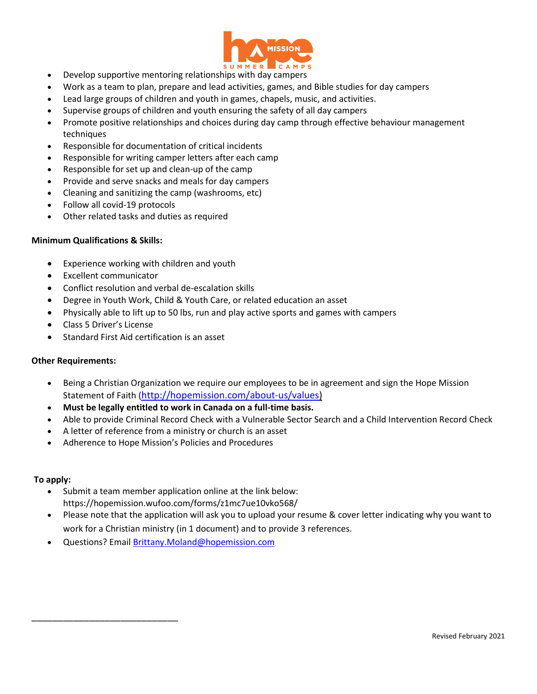

- Develop supportive mentoring relationships with day campers
- Work as a team to plan, prepare and lead activities, games, and Bible studies for day campers
- Lead large groups of children and youth in games, chapels, music, and activities.
- Supervise groups of children and youth ensuring the safety of all day campers
- Promote positive relationships and choices during day camp through effective behaviour management techniques
- Responsible for documentation of critical incidents
- Responsible for writing camper letters after each camp
- Responsible for set up and clean-up of the camp
- Provide and serve snacks and meals for day campers
- Cleaning and sanitizing the camp (washrooms, etc)
- Follow all covid-19 protocols
- Other related tasks and duties as required

## **Minimum Qualifications & Skills:**

- Experience working with children and youth
- Excellent communicator
- Conflict resolution and verbal de-escalation skills
- Degree in Youth Work, Child & Youth Care, or related education an asset
- Physically able to lift up to 50 lbs, run and play active sports and games with campers
- Class 5 Driver's License

\_\_\_\_\_\_\_\_\_\_\_\_\_\_\_\_\_\_\_\_\_\_\_\_\_\_\_\_

Standard First Aid certification is an asset

## **Other Requirements:**

- Being a Christian Organization we require our employees to be in agreement and sign the Hope Mission Statement of Faith ([http://hopemission.com/about-us/values\)](http://hopemission.com/about-us/values)
- **Must be legally entitled to work in Canada on a full-time basis.**
- Able to provide Criminal Record Check with a Vulnerable Sector Search and a Child Intervention Record Check
- A letter of reference from a ministry or church is an asset
- Adherence to Hope Mission's Policies and Procedures

## **To apply:**

- Submit a team member application online at the link below: https://hopemission.wufoo.com/forms/z1mc7ue10vko568/
- Please note that the application will ask you to upload your resume & cover letter indicating why you want to work for a Christian ministry (in 1 document) and to provide 3 references.
- Questions? Emai[l Brittany.Moland@hopemission.com](mailto:Brittany.Moland@hopemission.com)